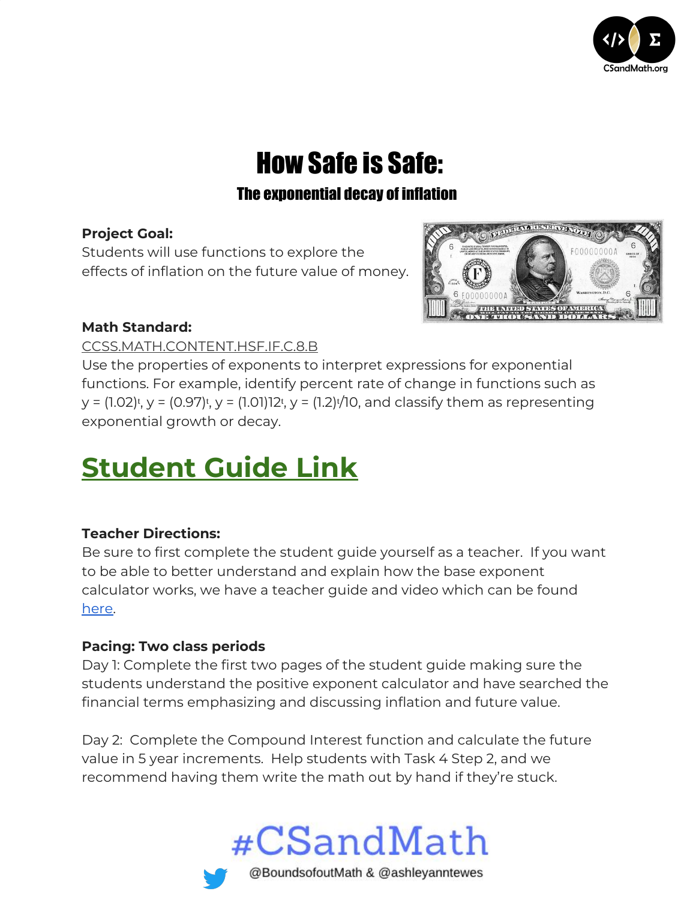

# **How Safe is Safe:**

## The exponential decay of inflation

### **Project Goal:**

Students will use functions to explore the effects of inflation on the future value of money.



### **Math Standard:**

### [CCSS.MATH.CONTENT.HSF.IF.C.8.B](http://www.corestandards.org/Math/Content/HSF/IF/C/8/b/)

Use the properties of exponents to interpret expressions for exponential functions. For example, identify percent rate of change in functions such as  $y = (1.02)^{t}$ ,  $y = (0.97)^{t}$ ,  $y = (1.01)12^{t}$ ,  $y = (1.2)^{t}$ , and classify them as representing exponential growth or decay.

# **[Student](https://docs.google.com/document/d/1hWlhdxrHE315ztNX9BjK3lP_Lu3bMJPxO7LZkuVX1Bc/edit) Guide Link**

### **Teacher Directions:**

Be sure to first complete the student guide yourself as a teacher. If you want to be able to better understand and explain how the base exponent calculator works, we have a teacher guide and video which can be found [here.](https://csandmath.org/2018/10/15/positive-exponent-calculator/)

### **Pacing: Two class periods**

Day 1: Complete the first two pages of the student guide making sure the students understand the positive exponent calculator and have searched the financial terms emphasizing and discussing inflation and future value.

Day 2: Complete the Compound Interest function and calculate the future value in 5 year increments. Help students with Task 4 Step 2, and we recommend having them write the math out by hand if they're stuck.